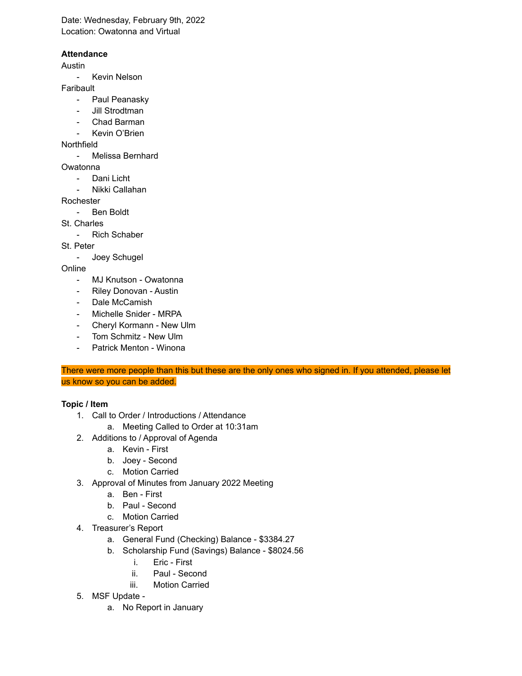Date: Wednesday, February 9th, 2022 Location: Owatonna and Virtual

## **Attendance**

Austin

- Kevin Nelson

Faribault

- Paul Peanasky
- Jill Strodtman
- Chad Barman
- Kevin O'Brien

Northfield

- Melissa Bernhard

Owatonna

- Dani Licht
- Nikki Callahan

Rochester

- Ben Boldt

St. Charles

Rich Schaber

St. Peter

- Joey Schugel

Online

- MJ Knutson Owatonna
- Riley Donovan Austin
- Dale McCamish
- Michelle Snider MRPA
- Cheryl Kormann New Ulm
- Tom Schmitz New Ulm
- Patrick Menton Winona

There were more people than this but these are the only ones who signed in. If you attended, please let us know so you can be added.

## **Topic / Item**

- 1. Call to Order / Introductions / Attendance
	- a. Meeting Called to Order at 10:31am
- 2. Additions to / Approval of Agenda
	- a. Kevin First
	- b. Joey Second
	- c. Motion Carried
- 3. Approval of Minutes from January 2022 Meeting
	- a. Ben First
	- b. Paul Second
	- c. Motion Carried
- 4. Treasurer's Report
	- a. General Fund (Checking) Balance \$3384.27
	- b. Scholarship Fund (Savings) Balance \$8024.56
		- i. Eric First
		- ii. Paul Second
		- iii. Motion Carried
- 5. MSF Update
	- a. No Report in January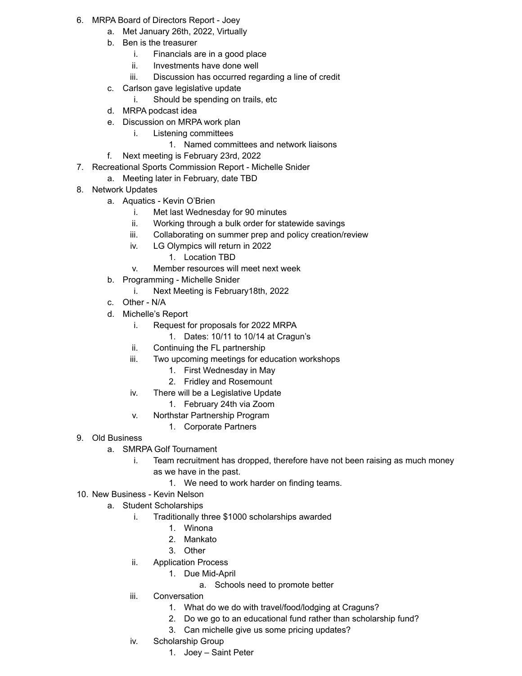- 6. MRPA Board of Directors Report Joey
	- a. Met January 26th, 2022, Virtually
	- b. Ben is the treasurer
		- i. Financials are in a good place
		- ii. Investments have done well
		- iii. Discussion has occurred regarding a line of credit
	- c. Carlson gave legislative update
		- i. Should be spending on trails, etc
	- d. MRPA podcast idea
	- e. Discussion on MRPA work plan
		- i. Listening committees
			- 1. Named committees and network liaisons
	- f. Next meeting is February 23rd, 2022
- 7. Recreational Sports Commission Report Michelle Snider
	- a. Meeting later in February, date TBD
- 8. Network Updates
	- a. Aquatics Kevin O'Brien
		- i. Met last Wednesday for 90 minutes
		- ii. Working through a bulk order for statewide savings
		- iii. Collaborating on summer prep and policy creation/review
		- iv. LG Olympics will return in 2022
			- 1. Location TBD
		- v. Member resources will meet next week
	- b. Programming Michelle Snider
		- i. Next Meeting is February18th, 2022
	- c. Other N/A
	- d. Michelle's Report
		- i. Request for proposals for 2022 MRPA
			- 1. Dates: 10/11 to 10/14 at Cragun's
		- ii. Continuing the FL partnership
		- iii. Two upcoming meetings for education workshops
			- 1. First Wednesday in May
			- 2. Fridley and Rosemount
		- iv. There will be a Legislative Update
			- 1. February 24th via Zoom
		- v. Northstar Partnership Program
			- 1. Corporate Partners
- 9. Old Business
	- a. SMRPA Golf Tournament
		- i. Team recruitment has dropped, therefore have not been raising as much money as we have in the past.
			- 1. We need to work harder on finding teams.
- 10. New Business Kevin Nelson
	- a. Student Scholarships
		- i. Traditionally three \$1000 scholarships awarded
			- 1. Winona
			- 2. Mankato
			- 3. Other
		- ii. Application Process
			- 1. Due Mid-April
				- a. Schools need to promote better
		- iii. Conversation
			- 1. What do we do with travel/food/lodging at Craguns?
			- 2. Do we go to an educational fund rather than scholarship fund?
			- 3. Can michelle give us some pricing updates?
		- iv. Scholarship Group
			- 1. Joey Saint Peter